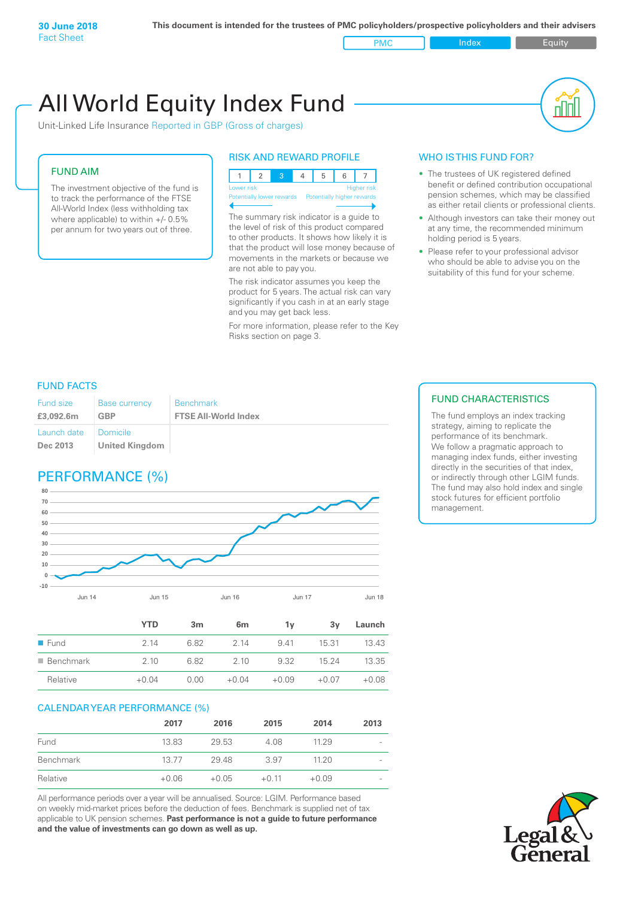PMC Index PMC Equity

# All World Equity Index Fund

Unit-Linked Life Insurance Reported in GBP (Gross of charges)

## FUND AIM

The investment objective of the fund is to track the performance of the FTSE All-World Index (less withholding tax where applicable) to within +/- 0.5% per annum for two years out of three.

## RISK AND REWARD PROFILE

|                                                      | Lower risk |  |  |  | <b>Higher</b> risk |
|------------------------------------------------------|------------|--|--|--|--------------------|
| Potentially lower rewards Potentially higher rewards |            |  |  |  |                    |

The summary risk indicator is a guide to the level of risk of this product compared to other products. It shows how likely it is that the product will lose money because of movements in the markets or because we are not able to pay you.

The risk indicator assumes you keep the product for 5 years. The actual risk can vary significantly if you cash in at an early stage and you may get back less.

For more information, please refer to the Key Risks section on page 3.

## WHO IS THIS FUND FOR?

- The trustees of UK registered defined benefit or defined contribution occupational pension schemes, which may be classified as either retail clients or professional clients.
- Although investors can take their money out at any time, the recommended minimum holding period is 5 years.
- Please refer to your professional advisor who should be able to advise you on the suitability of this fund for your scheme.

## FUND FACTS

| Fund size               | <b>Base currency</b>                | <b>Benchmark</b>            |
|-------------------------|-------------------------------------|-----------------------------|
| £3,092.6m               | <b>GBP</b>                          | <b>FTSE All-World Index</b> |
| Launch date<br>Dec 2013 | l Domicile<br><b>United Kingdom</b> |                             |

## PERFORMANCE (%)



|                          | YTD     | 3m   | 6 <sub>m</sub> | 1v      | 3v      | Launch  |
|--------------------------|---------|------|----------------|---------|---------|---------|
| $\blacksquare$ Fund      | 2 14    | 6.82 | 2.14           | 9.41    | 15.31   | 13.43   |
| $\blacksquare$ Benchmark | 2 10    | 6.82 | 2.10           | 9.32    | 15 24   | 13.35   |
| Relative                 | $+0.04$ | 0.00 | $+0.04$        | $+0.09$ | $+0.07$ | $+0.08$ |

## CALENDAR YEAR PERFORMANCE (%)

|           | 2017    | 2016    | 2015    | 2014    | 2013 |
|-----------|---------|---------|---------|---------|------|
| Fund      | 13.83   | 29.53   | 4.08    | 11.29   |      |
| Benchmark | 13.77   | 29.48   | 3.97    | 11 20   |      |
| Relative  | $+0.06$ | $+0.05$ | $+0.11$ | $+0.09$ |      |

All performance periods over a year will be annualised. Source: LGIM. Performance based on weekly mid-market prices before the deduction of fees. Benchmark is supplied net of tax applicable to UK pension schemes. **Past performance is not a guide to future performance and the value of investments can go down as well as up.**

## FUND CHARACTERISTICS

The fund employs an index tracking strategy, aiming to replicate the performance of its benchmark. We follow a pragmatic approach to managing index funds, either investing directly in the securities of that index, or indirectly through other LGIM funds. The fund may also hold index and single stock futures for efficient portfolio management.

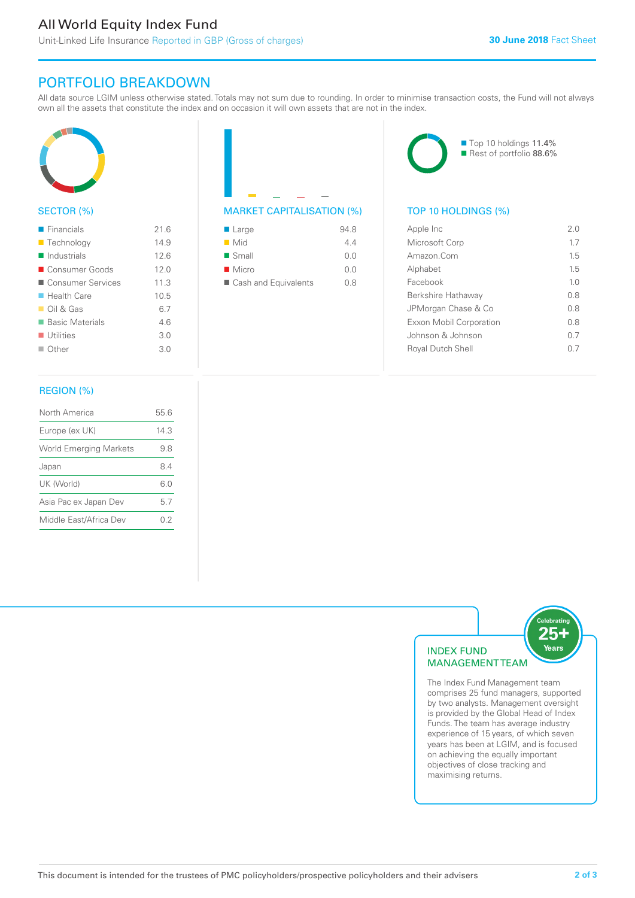## All World Equity Index Fund

Unit-Linked Life Insurance Reported in GBP (Gross of charges)

## PORTFOLIO BREAKDOWN

All data source LGIM unless otherwise stated. Totals may not sum due to rounding. In order to minimise transaction costs, the Fund will not always own all the assets that constitute the index and on occasion it will own assets that are not in the index.



## SECTOR (%)

| $\blacksquare$ Financials  | 216  |
|----------------------------|------|
| ■ Technology               | 14.9 |
| $\blacksquare$ Industrials | 12.6 |
| ■ Consumer Goods           | 12.0 |
| ■ Consumer Services        | 11.3 |
| $\blacksquare$ Health Care | 10.5 |
| $\Box$ Oil & Gas           | 6.7  |
| ■ Basic Materials          | 46   |
| $\blacksquare$ Utilities   | 3.0  |
| $\Box$ Other               | 3.0  |
|                            |      |

## MARKET CAPITALISATION (%) TOP 10 HOLDINGS (%)

| $\blacksquare$ Large | 94.8 |
|----------------------|------|
| $\blacksquare$ Mid   | 44   |
| $\blacksquare$ Small | 0.0  |
| $\blacksquare$ Micro | 0.0  |
| Cash and Equivalents | 0 S  |

■ Top 10 holdings 11.4% Rest of portfolio 88.6%

| Apple Inc                | 2.0            |
|--------------------------|----------------|
| Microsoft Corp           | 17             |
| Amazon.Com               | 1.5            |
| Alphabet                 | 15             |
| Facebook                 | 1 <sub>0</sub> |
| Berkshire Hathaway       | 08             |
| JPMorgan Chase & Co      | 08             |
| Exxon Mobil Corporation  | 08             |
| Johnson & Johnson        | 0.7            |
| <b>Royal Dutch Shell</b> | (1 /           |
|                          |                |

## REGION (%)

| North America                 | 55.6 |
|-------------------------------|------|
| Europe (ex UK)                | 14.3 |
| <b>World Emerging Markets</b> | 9.8  |
| Japan                         | 84   |
| UK (World)                    | 6.0  |
| Asia Pac ex Japan Dev         | 5.7  |
| Middle East/Africa Dev        | 02   |
|                               |      |



comprises 25 fund managers, supported by two analysts. Management oversight is provided by the Global Head of Index Funds. The team has average industry experience of 15 years, of which seven years has been at LGIM, and is focused on achieving the equally important objectives of close tracking and maximising returns.